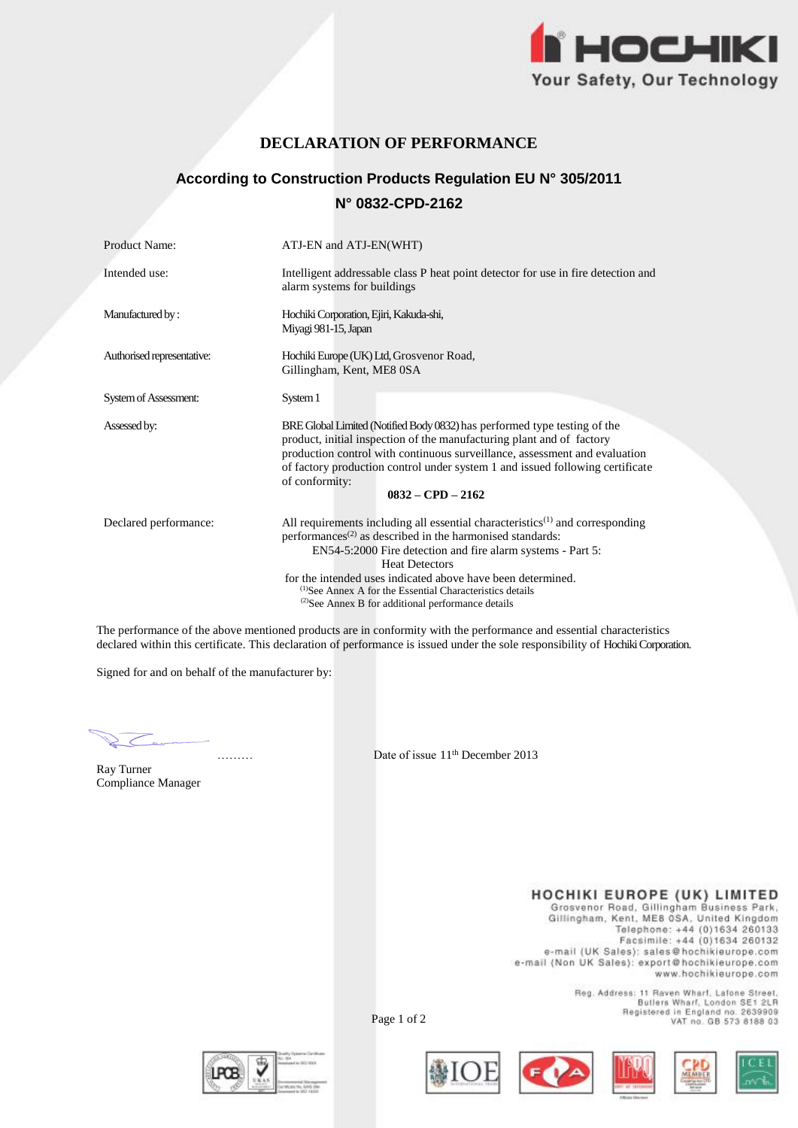

## **DECLARATION OF PERFORMANCE**

# **According to Construction Products Regulation EU N° 305/2011 N° 0832-CPD-2162**

| Product Name:              | ATJ-EN and ATJ-EN(WHT)                                                                                                                                                                                                                                                                                                                                                                                                                                                          |  |
|----------------------------|---------------------------------------------------------------------------------------------------------------------------------------------------------------------------------------------------------------------------------------------------------------------------------------------------------------------------------------------------------------------------------------------------------------------------------------------------------------------------------|--|
| Intended use:              | Intelligent addressable class P heat point detector for use in fire detection and<br>alarm systems for buildings                                                                                                                                                                                                                                                                                                                                                                |  |
| Manufactured by:           | Hochiki Corporation, Ejiri, Kakuda-shi,<br>Miyagi 981-15, Japan                                                                                                                                                                                                                                                                                                                                                                                                                 |  |
| Authorised representative: | Hochiki Europe (UK) Ltd, Grosvenor Road,<br>Gillingham, Kent, ME8 0SA                                                                                                                                                                                                                                                                                                                                                                                                           |  |
| System of Assessment:      | System 1                                                                                                                                                                                                                                                                                                                                                                                                                                                                        |  |
| Assessed by:               | BRE Global Limited (Notified Body 0832) has performed type testing of the<br>product, initial inspection of the manufacturing plant and of factory<br>production control with continuous surveillance, assessment and evaluation<br>of factory production control under system 1 and issued following certificate<br>of conformity:<br>$0832 - CPD - 2162$                                                                                                                      |  |
| Declared performance:      | All requirements including all essential characteristics <sup><math>(1)</math></sup> and corresponding<br>performances <sup>(2)</sup> as described in the harmonised standards:<br>EN54-5:2000 Fire detection and fire alarm systems - Part 5:<br><b>Heat Detectors</b><br>for the intended uses indicated above have been determined.<br><sup>(1)</sup> See Annex A for the Essential Characteristics details<br><sup>(2)</sup> See Annex B for additional performance details |  |

The performance of the above mentioned products are in conformity with the performance and essential characteristics declared within this certificate. This declaration of performance is issued under the sole responsibility of Hochiki Corporation.

Signed for and on behalf of the manufacturer by:

Ray Turner Compliance Manager

………………………………… Date of issue 11th December 2013

HOCHIKI EUROPE (UK) LIMITED<br>Grosvenor Road, Gillingham Business Park,<br>Gillingham, Kent, ME8 0SA, United Kingdom<br>Telephone: +44 (0)1634 260133<br>Facsimile: +44 (0)1634 260132 e-mail (UK Sales): sales@hochikieurope.com e-mail (Non UK Sales): export@hochikleurope.com www.hochikieurope.com

> Reg. Address: 11 Raven Wharf, Lafone Street, Butlers Whart, London SE1 2LR<br>Registered in England no. 2639909<br>VAT no. GB 573 8188 03





Page 1 of 2